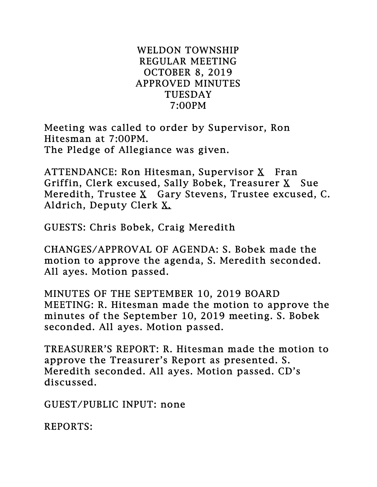## WELDON TOWNSHIP REGULAR MEETING OCTOBER 8, 2019 APPROVED MINUTES TUESDAY 7:00PM

Meeting was called to order by Supervisor, Ron Hitesman at 7:00PM. The Pledge of Allegiance was given.

ATTENDANCE: Ron Hitesman, Supervisor  $X$  Fran Griffin, Clerk excused, Sally Bobek, Treasurer X Sue Meredith, Trustee X Gary Stevens, Trustee excused, C. Aldrich, Deputy Clerk X.

GUESTS: Chris Bobek, Craig Meredith

CHANGES/APPROVAL OF AGENDA: S. Bobek made the motion to approve the agenda, S. Meredith seconded. All ayes. Motion passed.

MINUTES OF THE SEPTEMBER 10, 2019 BOARD MEETING: R. Hitesman made the motion to approve the minutes of the September 10, 2019 meeting. S. Bobek seconded. All ayes. Motion passed.

TREASURER'S REPORT: R. Hitesman made the motion to approve the Treasurer's Report as presented. S. Meredith seconded. All ayes. Motion passed. CD's discussed.

GUEST/PUBLIC INPUT: none

REPORTS: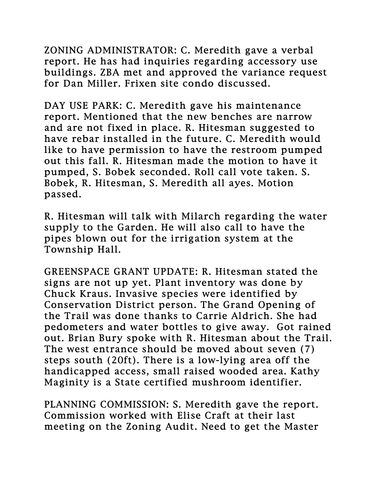ZONING ADMINISTRATOR: C. Meredith gave a verbal report. He has had inquiries regarding accessory use buildings. ZBA met and approved the variance request for Dan Miller. Frixen site condo discussed.

DAY USE PARK: C. Meredith gave his maintenance report. Mentioned that the new benches are narrow and are not fixed in place. R. Hitesman suggested to have rebar installed in the future. C. Meredith would like to have permission to have the restroom pumped out this fall. R. Hitesman made the motion to have it pumped, S. Bobek seconded. Roll call vote taken. S. Bobek, R. Hitesman, S. Meredith all ayes. Motion passed.

R. Hitesman will talk with Milarch regarding the water supply to the Garden. He will also call to have the pipes blown out for the irrigation system at the Township Hall.

GREENSPACE GRANT UPDATE: R. Hitesman stated the signs are not up yet. Plant inventory was done by Chuck Kraus. Invasive species were identified by Conservation District person. The Grand Opening of the Trail was done thanks to Carrie Aldrich. She had pedometers and water bottles to give away. Got rained out. Brian Bury spoke with R. Hitesman about the Trail. The west entrance should be moved about seven (7) steps south (20ft). There is a low-lying area off the handicapped access, small raised wooded area. Kathy Maginity is a State certified mushroom identifier.

PLANNING COMMISSION: S. Meredith gave the report. Commission worked with Elise Craft at their last meeting on the Zoning Audit. Need to get the Master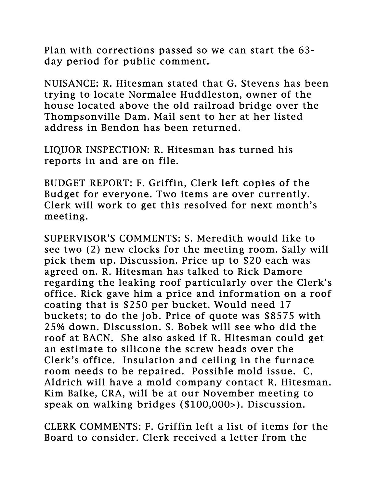Plan with corrections passed so we can start the 63 day period for public comment.

NUISANCE: R. Hitesman stated that G. Stevens has been trying to locate Normalee Huddleston, owner of the house located above the old railroad bridge over the Thompsonville Dam. Mail sent to her at her listed address in Bendon has been returned.

LIQUOR INSPECTION: R. Hitesman has turned his reports in and are on file.

BUDGET REPORT: F. Griffin, Clerk left copies of the Budget for everyone. Two items are over currently. Clerk will work to get this resolved for next month's meeting.

SUPERVISOR'S COMMENTS: S. Meredith would like to see two (2) new clocks for the meeting room. Sally will pick them up. Discussion. Price up to \$20 each was agreed on. R. Hitesman has talked to Rick Damore regarding the leaking roof particularly over the Clerk's office. Rick gave him a price and information on a roof coating that is \$250 per bucket. Would need 17 buckets; to do the job. Price of quote was \$8575 with 25% down. Discussion. S. Bobek will see who did the roof at BACN. She also asked if R. Hitesman could get an estimate to silicone the screw heads over the Clerk's office. Insulation and ceiling in the furnace room needs to be repaired. Possible mold issue. C. Aldrich will have a mold company contact R. Hitesman. Kim Balke, CRA, will be at our November meeting to speak on walking bridges (\$100,000>). Discussion.

CLERK COMMENTS: F. Griffin left a list of items for the Board to consider. Clerk received a letter from the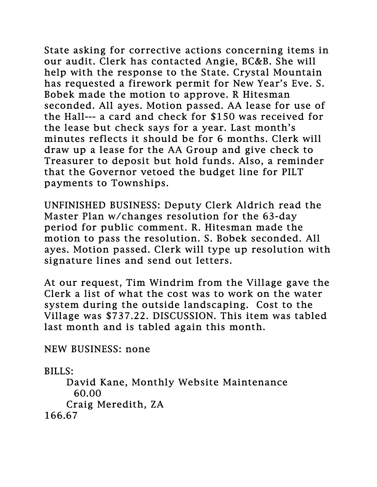State asking for corrective actions concerning items in our audit. Clerk has contacted Angie, BC&B. She will help with the response to the State. Crystal Mountain has requested a firework permit for New Year's Eve. S. Bobek made the motion to approve. R Hitesman seconded. All ayes. Motion passed. AA lease for use of the Hall--- a card and check for \$150 was received for the lease but check says for a year. Last month's minutes reflects it should be for 6 months. Clerk will draw up a lease for the AA Group and give check to Treasurer to deposit but hold funds. Also, a reminder that the Governor vetoed the budget line for PILT payments to Townships.

UNFINISHED BUSINESS: Deputy Clerk Aldrich read the Master Plan w/changes resolution for the 63-day period for public comment. R. Hitesman made the motion to pass the resolution. S. Bobek seconded. All ayes. Motion passed. Clerk will type up resolution with signature lines and send out letters.

At our request, Tim Windrim from the Village gave the Clerk a list of what the cost was to work on the water system during the outside landscaping. Cost to the Village was \$737.22. DISCUSSION. This item was tabled last month and is tabled again this month.

NEW BUSINESS: none

BILLS:

 David Kane, Monthly Website Maintenance 60.00 Craig Meredith, ZA 166.67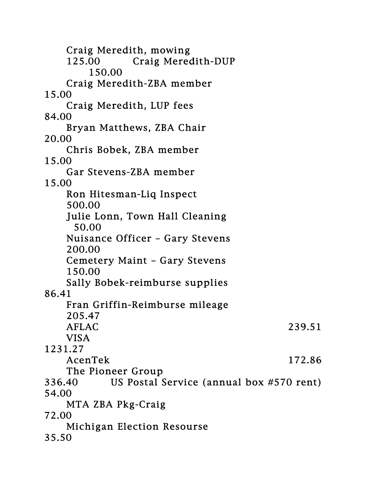Craig Meredith, mowing 125.00 Craig Meredith-DUP 150.00 Craig Meredith-ZBA member 15.00 Craig Meredith, LUP fees 84.00 Bryan Matthews, ZBA Chair 20.00 Chris Bobek, ZBA member 15.00 Gar Stevens-ZBA member 15.00 Ron Hitesman-Liq Inspect 500.00 Julie Lonn, Town Hall Cleaning 50.00 Nuisance Officer – Gary Stevens 200.00 Cemetery Maint – Gary Stevens 150.00 Sally Bobek-reimburse supplies 86.41 Fran Griffin-Reimburse mileage 205.47 AFLAC 239.51 VISA 1231.27 AcenTek 172.86 The Pioneer Group 336.40 US Postal Service (annual box #570 rent) 54.00 MTA ZBA Pkg-Craig 72.00 Michigan Election Resourse 35.50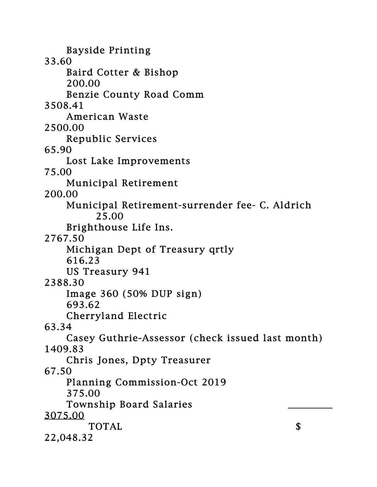Bayside Printing 33.60 Baird Cotter & Bishop 200.00 Benzie County Road Comm 3508.41 American Waste 2500.00 Republic Services 65.90 Lost Lake Improvements 75.00 Municipal Retirement 200.00 Municipal Retirement-surrender fee- C. Aldrich 25.00 Brighthouse Life Ins. 2767.50 Michigan Dept of Treasury qrtly 616.23 US Treasury 941 2388.30 Image 360 (50% DUP sign) 693.62 Cherryland Electric 63.34 Casey Guthrie-Assessor (check issued last month) 1409.83 Chris Jones, Dpty Treasurer 67.50 Planning Commission-Oct 2019 375.00 Township Board Salaries 3075.00 TOTAL S 22,048.32